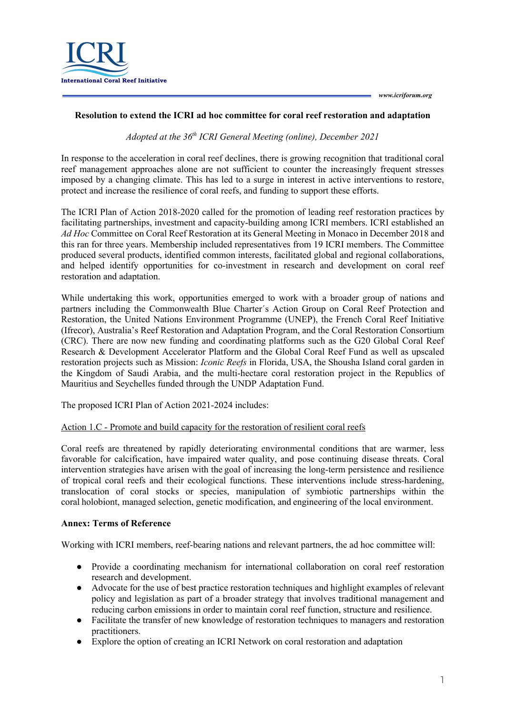

## **Resolution to extend the ICRI ad hoc committee for coral reef restoration and adaptation**

*Adopted at the 36th ICRI General Meeting (online), December 2021*

In response to the acceleration in coral reef declines, there is growing recognition that traditional coral reef management approaches alone are not sufficient to counter the increasingly frequent stresses imposed by a changing climate. This has led to a surge in interest in active interventions to restore, protect and increase the resilience of coral reefs, and funding to support these efforts.

The ICRI Plan of Action 2018-2020 called for the promotion of leading reef restoration practices by facilitating partnerships, investment and capacity-building among ICRI members. ICRI established an *Ad Hoc* Committee on Coral Reef Restoration at its General Meeting in Monaco in December 2018 and this ran for three years. Membership included representatives from 19 ICRI members. The Committee produced several products, identified common interests, facilitated global and regional collaborations, and helped identify opportunities for co-investment in research and development on coral reef restoration and adaptation.

While undertaking this work, opportunities emerged to work with a broader group of nations and partners including the Commonwealth Blue Charter´s Action Group on Coral Reef Protection and Restoration, the United Nations Environment Programme (UNEP), the French Coral Reef Initiative (Ifrecor), Australia's Reef Restoration and Adaptation Program, and the Coral Restoration Consortium (CRC). There are now new funding and coordinating platforms such as the G20 Global Coral Reef Research & Development Accelerator Platform and the Global Coral Reef Fund as well as upscaled restoration projects such as Mission: *Iconic Reefs* in Florida, USA, the Shousha Island coral garden in the Kingdom of Saudi Arabia, and the multi-hectare coral restoration project in the Republics of Mauritius and Seychelles funded through the UNDP Adaptation Fund.

The proposed ICRI Plan of Action 2021-2024 includes:

## Action 1.C - Promote and build capacity for the restoration of resilient coral reefs

Coral reefs are threatened by rapidly deteriorating environmental conditions that are warmer, less favorable for calcification, have impaired water quality, and pose continuing disease threats. Coral intervention strategies have arisen with the goal of increasing the long-term persistence and resilience of tropical coral reefs and their ecological functions. These interventions include stress-hardening, translocation of coral stocks or species, manipulation of symbiotic partnerships within the coral holobiont, managed selection, genetic modification, and engineering of the local environment.  

## **Annex: Terms of Reference**

Working with ICRI members, reef-bearing nations and relevant partners, the ad hoc committee will:

- Provide a coordinating mechanism for international collaboration on coral reef restoration research and development.
- Advocate for the use of best practice restoration techniques and highlight examples of relevant policy and legislation as part of a broader strategy that involves traditional management and reducing carbon emissions in order to maintain coral reef function, structure and resilience.
- Facilitate the transfer of new knowledge of restoration techniques to managers and restoration practitioners.
- Explore the option of creating an ICRI Network on coral restoration and adaptation